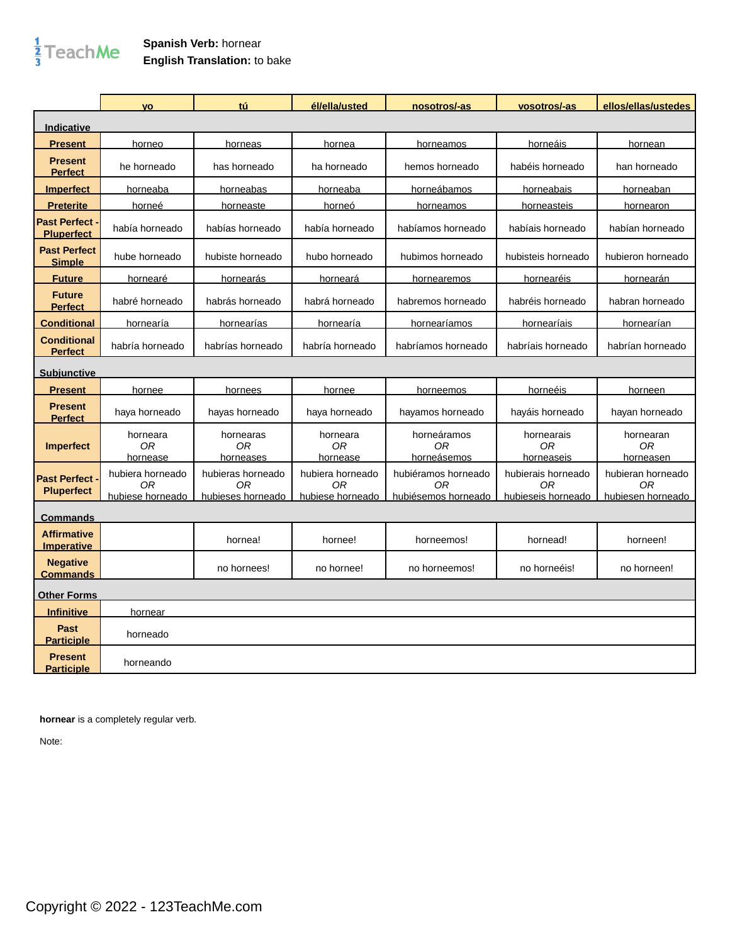## $\frac{1}{3}$ TeachMe

## **Spanish Verb:** hornear **English Translation:** to bake

|                                          | <b>VO</b>                                  | tú                                           | él/ella/usted                              | nosotros/-as                                     | vosotros/-as                                   | ellos/ellas/ustedes                          |
|------------------------------------------|--------------------------------------------|----------------------------------------------|--------------------------------------------|--------------------------------------------------|------------------------------------------------|----------------------------------------------|
| <b>Indicative</b>                        |                                            |                                              |                                            |                                                  |                                                |                                              |
| <b>Present</b>                           | horneo                                     | horneas                                      | hornea                                     | horneamos                                        | horneáis                                       | hornean                                      |
| <b>Present</b><br><b>Perfect</b>         | he horneado                                | has horneado                                 | ha horneado                                | hemos horneado                                   | habéis horneado                                | han horneado                                 |
| <b>Imperfect</b>                         | horneaba                                   | horneabas                                    | horneaba                                   | horneábamos                                      | horneabais                                     | horneaban                                    |
| <b>Preterite</b>                         | horneé                                     | horneaste                                    | horneó                                     | horneamos                                        | horneasteis                                    | hornearon                                    |
| <b>Past Perfect</b><br><b>Pluperfect</b> | había horneado                             | habías horneado                              | había horneado                             | habíamos horneado                                | habíais horneado                               | habían horneado                              |
| <b>Past Perfect</b><br><b>Simple</b>     | hube horneado                              | hubiste horneado                             | hubo horneado                              | hubimos horneado                                 | hubisteis horneado                             | hubieron horneado                            |
| <b>Future</b>                            | hornearé                                   | hornearás                                    | horneará                                   | hornearemos                                      | hornearéis                                     | <b>hornearán</b>                             |
| <b>Future</b><br><b>Perfect</b>          | habré horneado                             | habrás horneado                              | habrá horneado                             | habremos horneado                                | habréis horneado                               | habran horneado                              |
| <b>Conditional</b>                       | hornearía                                  | hornearías                                   | hornearía                                  | hornearíamos                                     | hornearíais                                    | hornearían                                   |
| <b>Conditional</b><br><b>Perfect</b>     | habría horneado                            | habrías horneado                             | habría horneado                            | habríamos horneado                               | habríais horneado                              | habrían horneado                             |
| <b>Subjunctive</b>                       |                                            |                                              |                                            |                                                  |                                                |                                              |
| <b>Present</b>                           | hornee                                     | hornees                                      | hornee                                     | horneemos                                        | horneéis                                       | horneen                                      |
| <b>Present</b><br><b>Perfect</b>         | haya horneado                              | hayas horneado                               | haya horneado                              | hayamos horneado                                 | hayáis horneado                                | hayan horneado                               |
| <b>Imperfect</b>                         | horneara<br>0R<br>hornease                 | hornearas<br>ОR<br>horneases                 | horneara<br>0R<br>hornease                 | horneáramos<br>0R<br>horneásemos                 | hornearais<br>0R<br>horneaseis                 | hornearan<br>0R<br>horneasen                 |
| <b>Past Perfect</b><br><b>Pluperfect</b> | hubiera horneado<br>ОR<br>hubiese horneado | hubieras horneado<br>ОR<br>hubieses horneado | hubiera horneado<br>0R<br>hubiese horneado | hubiéramos horneado<br>ОR<br>hubiésemos horneado | hubierais horneado<br>0R<br>hubieseis horneado | hubieran horneado<br>0R<br>hubiesen horneado |
| <b>Commands</b>                          |                                            |                                              |                                            |                                                  |                                                |                                              |
| <b>Affirmative</b><br><b>Imperative</b>  |                                            | hornea!                                      | hornee!                                    | horneemos!                                       | hornead!                                       | horneen!                                     |
| <b>Negative</b><br><b>Commands</b>       |                                            | no hornees!                                  | no hornee!                                 | no horneemos!                                    | no horneéis!                                   | no horneen!                                  |
| <b>Other Forms</b>                       |                                            |                                              |                                            |                                                  |                                                |                                              |
| <b>Infinitive</b>                        | hornear                                    |                                              |                                            |                                                  |                                                |                                              |
| Past<br><b>Participle</b>                | horneado                                   |                                              |                                            |                                                  |                                                |                                              |
| <b>Present</b><br>Participle             | horneando                                  |                                              |                                            |                                                  |                                                |                                              |

**hornear** is a completely regular verb.

Note: